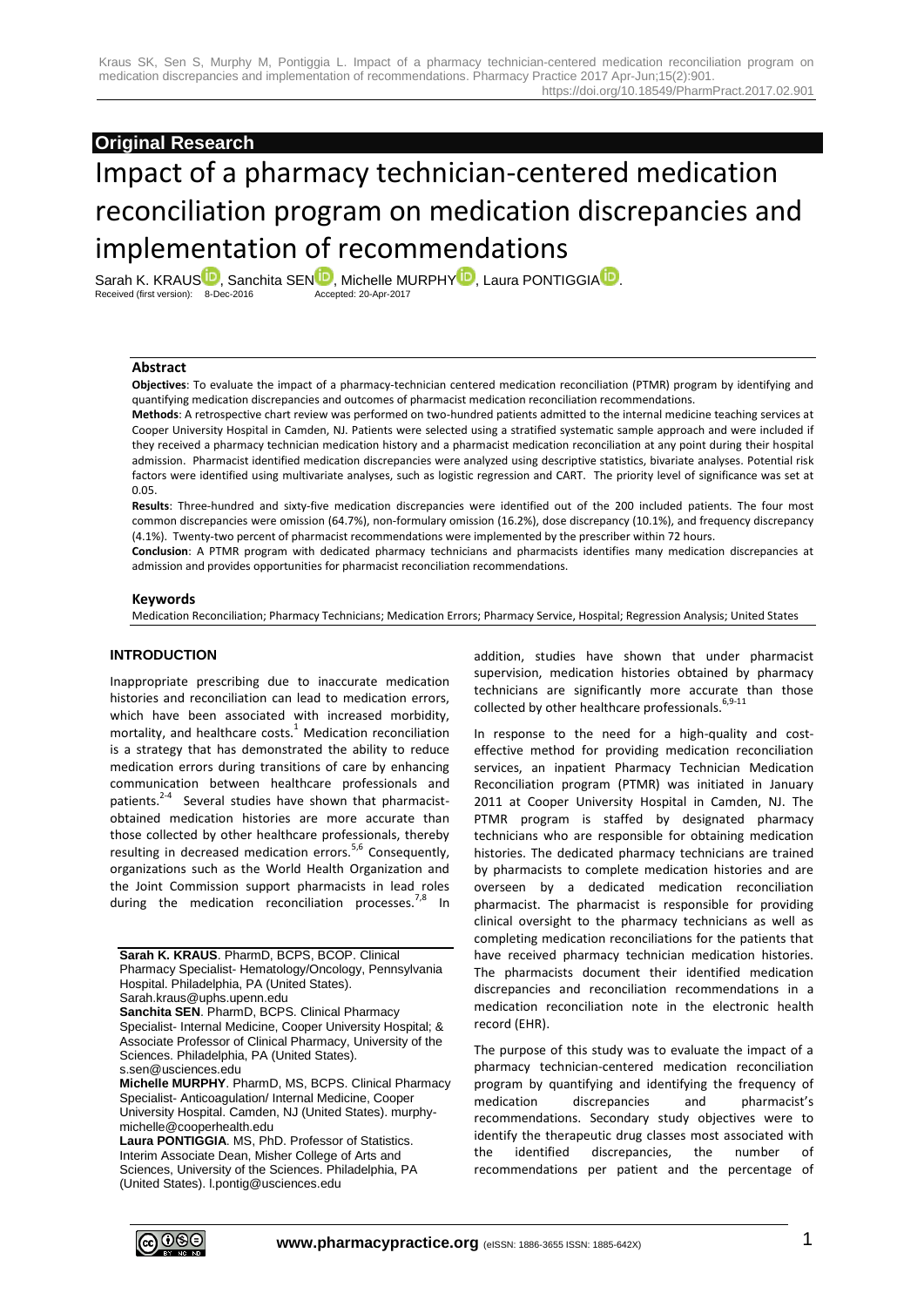# **Original Research**

# Impact of a pharmacy technician-centered medication reconciliation program on medication discrepancies and implementation of recommendations

[S](http://orcid.org/0000-0002-9091-7642)arah K. KR[A](http://orcid.org/0000-0001-9706-3937)US  $\blacksquare$ , Sanchita SE[N](http://orcid.org/0000-0002-0299-2731)  $\blacksquare$ , Michelle MURPH[Y](http://orcid.org/0000-0003-1413-351X)  $\blacksquare$ , Laura PONTIGGIA  $\blacksquare$ .<br>Received (first version): 8-Dec-2016 Received (first version): 8-Dec-2016

## **Abstract**

**Objectives**: To evaluate the impact of a pharmacy-technician centered medication reconciliation (PTMR) program by identifying and quantifying medication discrepancies and outcomes of pharmacist medication reconciliation recommendations.

**Methods**: A retrospective chart review was performed on two-hundred patients admitted to the internal medicine teaching services at Cooper University Hospital in Camden, NJ. Patients were selected using a stratified systematic sample approach and were included if they received a pharmacy technician medication history and a pharmacist medication reconciliation at any point during their hospital admission. Pharmacist identified medication discrepancies were analyzed using descriptive statistics, bivariate analyses. Potential risk factors were identified using multivariate analyses, such as logistic regression and CART. The priority level of significance was set at 0.05.

**Results**: Three-hundred and sixty-five medication discrepancies were identified out of the 200 included patients. The four most common discrepancies were omission (64.7%), non-formulary omission (16.2%), dose discrepancy (10.1%), and frequency discrepancy (4.1%). Twenty-two percent of pharmacist recommendations were implemented by the prescriber within 72 hours.

**Conclusion**: A PTMR program with dedicated pharmacy technicians and pharmacists identifies many medication discrepancies at admission and provides opportunities for pharmacist reconciliation recommendations.

#### **Keywords**

Medication Reconciliation; Pharmacy Technicians; Medication Errors; Pharmacy Service, Hospital; Regression Analysis; United States

## **INTRODUCTION**

Inappropriate prescribing due to inaccurate medication histories and reconciliation can lead to medication errors, which have been associated with increased morbidity, mortality, and healthcare costs. $^{1}$  Medication reconciliation is a strategy that has demonstrated the ability to reduce medication errors during transitions of care by enhancing communication between healthcare professionals and patients.<sup>2-4</sup> Several studies have shown that pharmacistobtained medication histories are more accurate than those collected by other healthcare professionals, thereby resulting in decreased medication errors.<sup>5,6</sup> Consequently, organizations such as the World Health Organization and the Joint Commission support pharmacists in lead roles during the medication reconciliation processes.<sup>7,8</sup> In

**Sarah K. KRAUS**. PharmD, BCPS, BCOP. Clinical Pharmacy Specialist- Hematology/Oncology, Pennsylvania Hospital. Philadelphia, PA (United States). Sarah.kraus@uphs.upenn.edu **Sanchita SEN**. PharmD, BCPS. Clinical Pharmacy Specialist- Internal Medicine, Cooper University Hospital; & Associate Professor of Clinical Pharmacy, University of the Sciences. Philadelphia, PA (United States). s.sen@usciences.edu

**Michelle MURPHY**. PharmD, MS, BCPS. Clinical Pharmacy Specialist- Anticoagulation/ Internal Medicine, Cooper University Hospital. Camden, NJ (United States). murphymichelle@cooperhealth.edu

**Laura PONTIGGIA**. MS, PhD. Professor of Statistics. Interim Associate Dean, Misher College of Arts and Sciences, University of the Sciences. Philadelphia, PA (United States). l.pontig@usciences.edu

addition, studies have shown that under pharmacist supervision, medication histories obtained by pharmacy technicians are significantly more accurate than those collected by other healthcare professionals.  $6,9-11$ 

In response to the need for a high-quality and costeffective method for providing medication reconciliation services, an inpatient Pharmacy Technician Medication Reconciliation program (PTMR) was initiated in January 2011 at Cooper University Hospital in Camden, NJ. The PTMR program is staffed by designated pharmacy technicians who are responsible for obtaining medication histories. The dedicated pharmacy technicians are trained by pharmacists to complete medication histories and are overseen by a dedicated medication reconciliation pharmacist. The pharmacist is responsible for providing clinical oversight to the pharmacy technicians as well as completing medication reconciliations for the patients that have received pharmacy technician medication histories. The pharmacists document their identified medication discrepancies and reconciliation recommendations in a medication reconciliation note in the electronic health record (EHR).

The purpose of this study was to evaluate the impact of a pharmacy technician-centered medication reconciliation program by quantifying and identifying the frequency of medication discrepancies and pharmacist's recommendations. Secondary study objectives were to identify the therapeutic drug classes most associated with the identified discrepancies, the number of recommendations per patient and the percentage of

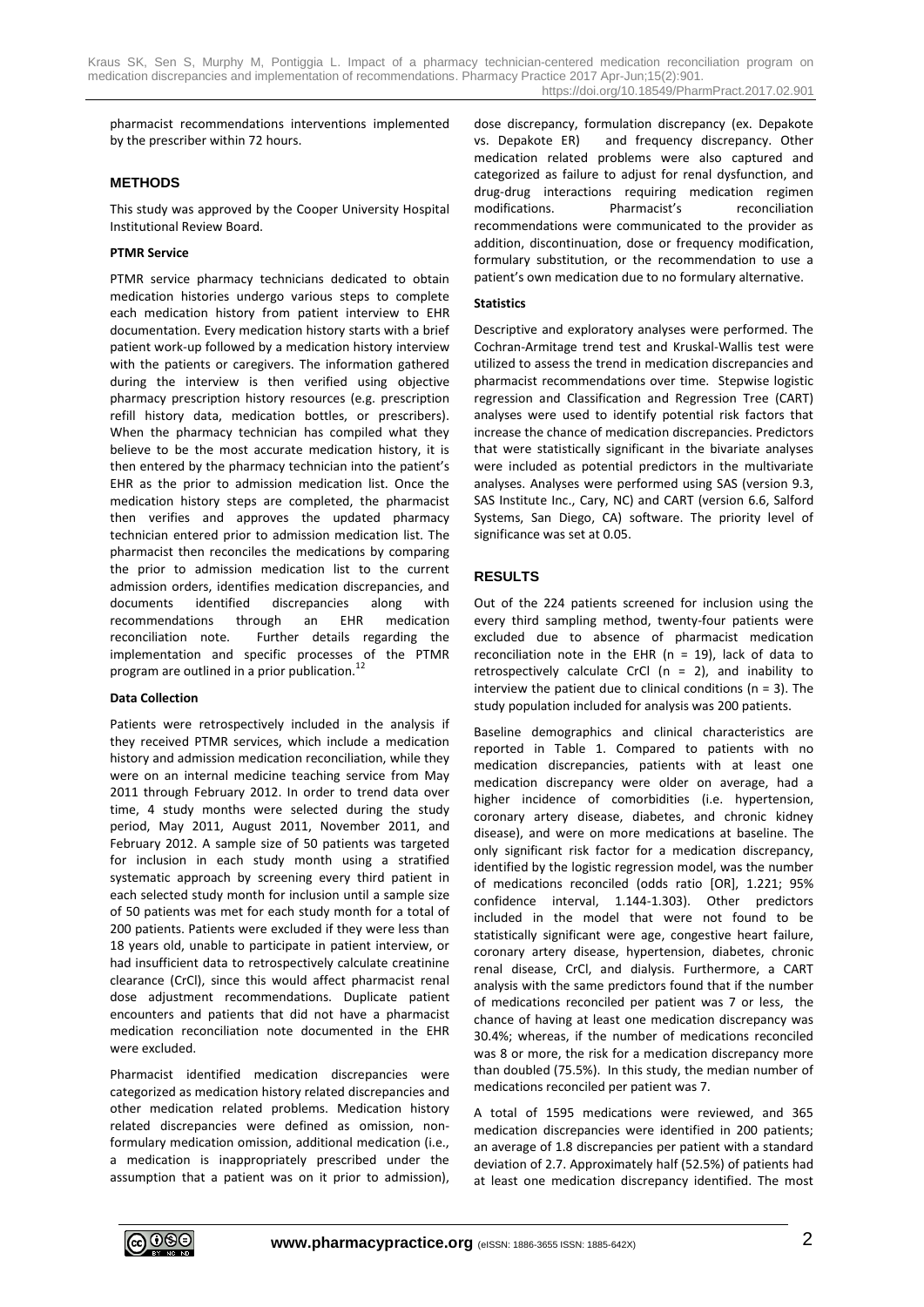pharmacist recommendations interventions implemented by the prescriber within 72 hours.

#### **METHODS**

This study was approved by the Cooper University Hospital Institutional Review Board.

#### **PTMR Service**

PTMR service pharmacy technicians dedicated to obtain medication histories undergo various steps to complete each medication history from patient interview to EHR documentation. Every medication history starts with a brief patient work-up followed by a medication history interview with the patients or caregivers. The information gathered during the interview is then verified using objective pharmacy prescription history resources (e.g. prescription refill history data, medication bottles, or prescribers). When the pharmacy technician has compiled what they believe to be the most accurate medication history, it is then entered by the pharmacy technician into the patient's EHR as the prior to admission medication list. Once the medication history steps are completed, the pharmacist then verifies and approves the updated pharmacy technician entered prior to admission medication list. The pharmacist then reconciles the medications by comparing the prior to admission medication list to the current admission orders, identifies medication discrepancies, and documents identified discrepancies along with recommendations through an EHR medication reconciliation note. Further details regarding the implementation and specific processes of the PTMR program are outlined in a prior publication.<sup>1</sup>

#### **Data Collection**

Patients were retrospectively included in the analysis if they received PTMR services, which include a medication history and admission medication reconciliation, while they were on an internal medicine teaching service from May 2011 through February 2012. In order to trend data over time, 4 study months were selected during the study period, May 2011, August 2011, November 2011, and February 2012. A sample size of 50 patients was targeted for inclusion in each study month using a stratified systematic approach by screening every third patient in each selected study month for inclusion until a sample size of 50 patients was met for each study month for a total of 200 patients. Patients were excluded if they were less than 18 years old, unable to participate in patient interview, or had insufficient data to retrospectively calculate creatinine clearance (CrCl), since this would affect pharmacist renal dose adjustment recommendations. Duplicate patient encounters and patients that did not have a pharmacist medication reconciliation note documented in the EHR were excluded.

Pharmacist identified medication discrepancies were categorized as medication history related discrepancies and other medication related problems. Medication history related discrepancies were defined as omission, nonformulary medication omission, additional medication (i.e., a medication is inappropriately prescribed under the assumption that a patient was on it prior to admission), dose discrepancy, formulation discrepancy (ex. Depakote vs. Depakote ER) and frequency discrepancy. Other medication related problems were also captured and categorized as failure to adjust for renal dysfunction, and drug-drug interactions requiring medication regimen modifications. Pharmacist's reconciliation recommendations were communicated to the provider as addition, discontinuation, dose or frequency modification, formulary substitution, or the recommendation to use a patient's own medication due to no formulary alternative.

#### **Statistics**

Descriptive and exploratory analyses were performed. The Cochran-Armitage trend test and Kruskal-Wallis test were utilized to assess the trend in medication discrepancies and pharmacist recommendations over time. Stepwise logistic regression and Classification and Regression Tree (CART) analyses were used to identify potential risk factors that increase the chance of medication discrepancies. Predictors that were statistically significant in the bivariate analyses were included as potential predictors in the multivariate analyses. Analyses were performed using SAS (version 9.3, SAS Institute Inc., Cary, NC) and CART (version 6.6, Salford Systems, San Diego, CA) software. The priority level of significance was set at 0.05.

## **RESULTS**

Out of the 224 patients screened for inclusion using the every third sampling method, twenty-four patients were excluded due to absence of pharmacist medication reconciliation note in the EHR (n = 19), lack of data to retrospectively calculate CrCl  $(n = 2)$ , and inability to interview the patient due to clinical conditions ( $n = 3$ ). The study population included for analysis was 200 patients.

Baseline demographics and clinical characteristics are reported in Table 1. Compared to patients with no medication discrepancies, patients with at least one medication discrepancy were older on average, had a higher incidence of comorbidities (i.e. hypertension, coronary artery disease, diabetes, and chronic kidney disease), and were on more medications at baseline. The only significant risk factor for a medication discrepancy, identified by the logistic regression model, was the number of medications reconciled (odds ratio [OR], 1.221; 95% confidence interval, 1.144-1.303). Other predictors included in the model that were not found to be statistically significant were age, congestive heart failure, coronary artery disease, hypertension, diabetes, chronic renal disease, CrCl, and dialysis. Furthermore, a CART analysis with the same predictors found that if the number of medications reconciled per patient was 7 or less, the chance of having at least one medication discrepancy was 30.4%; whereas, if the number of medications reconciled was 8 or more, the risk for a medication discrepancy more than doubled (75.5%). In this study, the median number of medications reconciled per patient was 7.

A total of 1595 medications were reviewed, and 365 medication discrepancies were identified in 200 patients; an average of 1.8 discrepancies per patient with a standard deviation of 2.7. Approximately half (52.5%) of patients had at least one medication discrepancy identified. The most

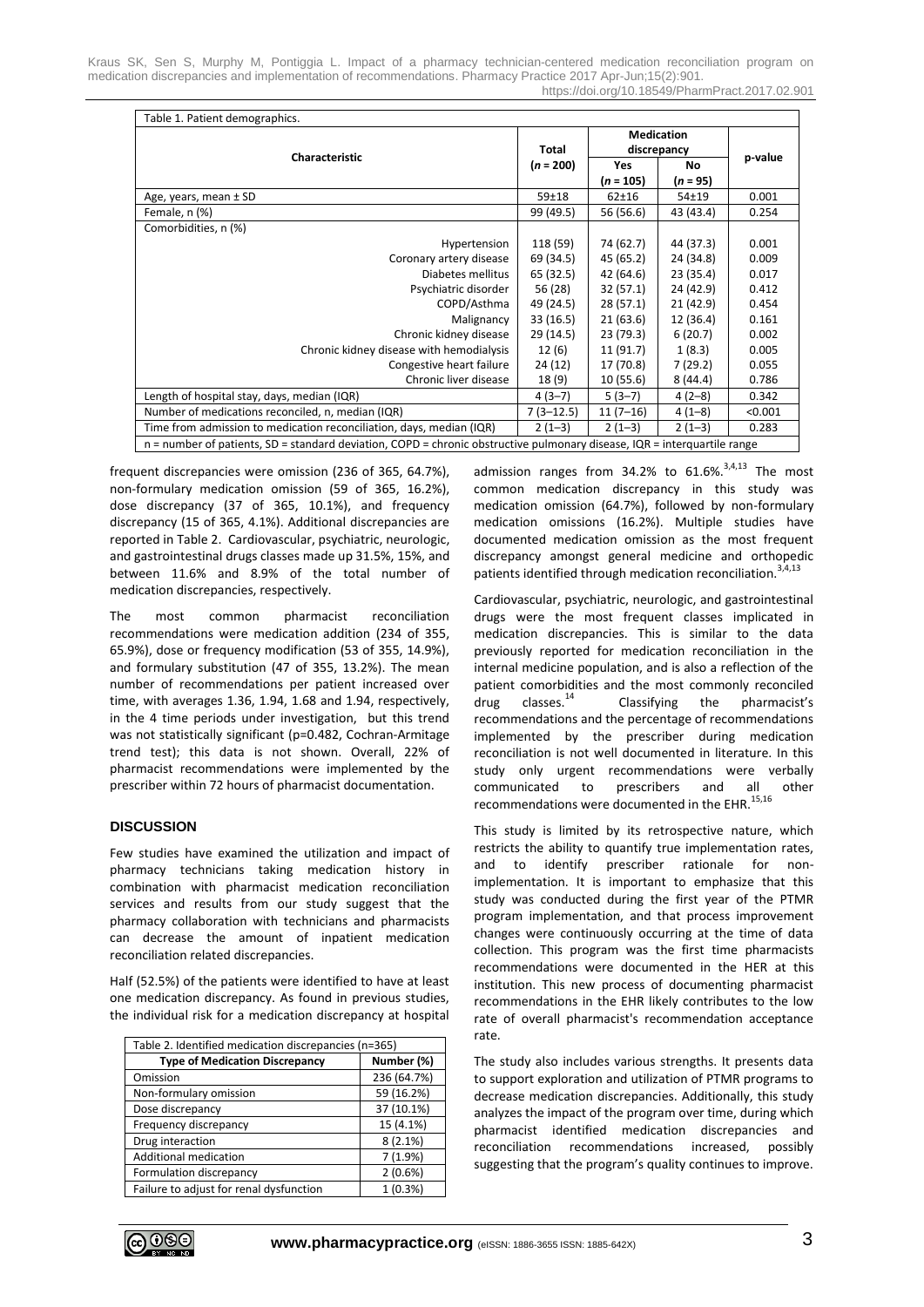| Table 1. Patient demographics.                                                                                             |                      |                                  |            |         |  |
|----------------------------------------------------------------------------------------------------------------------------|----------------------|----------------------------------|------------|---------|--|
| <b>Characteristic</b>                                                                                                      | Total<br>$(n = 200)$ | <b>Medication</b><br>discrepancy |            |         |  |
|                                                                                                                            |                      | Yes                              | No         | p-value |  |
|                                                                                                                            |                      | $(n = 105)$                      | $(n = 95)$ |         |  |
| Age, years, mean ± SD                                                                                                      | $59 + 18$            | $62 + 16$                        | $54 + 19$  | 0.001   |  |
| Female, n (%)                                                                                                              | 99 (49.5)            | 56 (56.6)                        | 43 (43.4)  | 0.254   |  |
| Comorbidities, n (%)                                                                                                       |                      |                                  |            |         |  |
| Hypertension                                                                                                               | 118 (59)             | 74 (62.7)                        | 44 (37.3)  | 0.001   |  |
| Coronary artery disease                                                                                                    | 69 (34.5)            | 45 (65.2)                        | 24 (34.8)  | 0.009   |  |
| Diabetes mellitus                                                                                                          | 65 (32.5)            | 42 (64.6)                        | 23 (35.4)  | 0.017   |  |
| Psychiatric disorder                                                                                                       | 56 (28)              | 32(57.1)                         | 24 (42.9)  | 0.412   |  |
| COPD/Asthma                                                                                                                | 49 (24.5)            | 28(57.1)                         | 21(42.9)   | 0.454   |  |
| Malignancy                                                                                                                 | 33(16.5)             | 21(63.6)                         | 12 (36.4)  | 0.161   |  |
| Chronic kidney disease                                                                                                     | 29 (14.5)            | 23 (79.3)                        | 6(20.7)    | 0.002   |  |
| Chronic kidney disease with hemodialysis                                                                                   | 12(6)                | 11 (91.7)                        | 1(8.3)     | 0.005   |  |
| Congestive heart failure                                                                                                   | 24 (12)              | 17 (70.8)                        | 7(29.2)    | 0.055   |  |
| Chronic liver disease                                                                                                      | 18(9)                | 10(55.6)                         | 8(44.4)    | 0.786   |  |
| Length of hospital stay, days, median (IQR)                                                                                | $4(3-7)$             | $5(3-7)$                         | $4(2-8)$   | 0.342   |  |
| Number of medications reconciled, n, median (IQR)                                                                          | $7(3-12.5)$          | $11(7-16)$                       | $4(1-8)$   | < 0.001 |  |
| Time from admission to medication reconciliation, days, median (IQR)                                                       | $2(1-3)$             | $2(1-3)$                         | $2(1-3)$   | 0.283   |  |
| $n =$ number of patients, SD = standard deviation, COPD = chronic obstructive pulmonary disease, IQR = interquartile range |                      |                                  |            |         |  |

frequent discrepancies were omission (236 of 365, 64.7%), non-formulary medication omission (59 of 365, 16.2%), dose discrepancy (37 of 365, 10.1%), and frequency discrepancy (15 of 365, 4.1%). Additional discrepancies are reported in Table 2. Cardiovascular, psychiatric, neurologic, and gastrointestinal drugs classes made up 31.5%, 15%, and between 11.6% and 8.9% of the total number of medication discrepancies, respectively.

The most common pharmacist reconciliation recommendations were medication addition (234 of 355, 65.9%), dose or frequency modification (53 of 355, 14.9%), and formulary substitution (47 of 355, 13.2%). The mean number of recommendations per patient increased over time, with averages 1.36, 1.94, 1.68 and 1.94, respectively, in the 4 time periods under investigation, but this trend was not statistically significant (p=0.482, Cochran-Armitage trend test); this data is not shown. Overall, 22% of pharmacist recommendations were implemented by the prescriber within 72 hours of pharmacist documentation.

#### **DISCUSSION**

Few studies have examined the utilization and impact of pharmacy technicians taking medication history in combination with pharmacist medication reconciliation services and results from our study suggest that the pharmacy collaboration with technicians and pharmacists can decrease the amount of inpatient medication reconciliation related discrepancies.

Half (52.5%) of the patients were identified to have at least one medication discrepancy. As found in previous studies, the individual risk for a medication discrepancy at hospital

| Table 2. Identified medication discrepancies (n=365) |  |  |  |  |
|------------------------------------------------------|--|--|--|--|
| Number (%)                                           |  |  |  |  |
| 236 (64.7%)                                          |  |  |  |  |
| 59 (16.2%)                                           |  |  |  |  |
| 37 (10.1%)                                           |  |  |  |  |
| 15 (4.1%)                                            |  |  |  |  |
| $8(2.1\%)$                                           |  |  |  |  |
| 7(1.9%)                                              |  |  |  |  |
| 2(0.6%)                                              |  |  |  |  |
| $1(0.3\%)$                                           |  |  |  |  |
|                                                      |  |  |  |  |

admission ranges from  $34.2\%$  to  $61.6\%$ ,  $34.13$  The most common medication discrepancy in this study was medication omission (64.7%), followed by non-formulary medication omissions (16.2%). Multiple studies have documented medication omission as the most frequent discrepancy amongst general medicine and orthopedic patients identified through medication reconciliation.<sup>3,4,13</sup>

Cardiovascular, psychiatric, neurologic, and gastrointestinal drugs were the most frequent classes implicated in medication discrepancies. This is similar to the data previously reported for medication reconciliation in the internal medicine population, and is also a reflection of the patient comorbidities and the most commonly reconciled  $drug$  classes. $^{14}$  Classifying the pharmacist's recommendations and the percentage of recommendations implemented by the prescriber during medication reconciliation is not well documented in literature. In this study only urgent recommendations were verbally communicated to prescribers and all other recommendations were documented in the EHR. $^{15,16}$ 

This study is limited by its retrospective nature, which restricts the ability to quantify true implementation rates, and to identify prescriber rationale for nonimplementation. It is important to emphasize that this study was conducted during the first year of the PTMR program implementation, and that process improvement changes were continuously occurring at the time of data collection. This program was the first time pharmacists recommendations were documented in the HER at this institution. This new process of documenting pharmacist recommendations in the EHR likely contributes to the low rate of overall pharmacist's recommendation acceptance rate.

The study also includes various strengths. It presents data to support exploration and utilization of PTMR programs to decrease medication discrepancies. Additionally, this study analyzes the impact of the program over time, during which pharmacist identified medication discrepancies and reconciliation recommendations increased, possibly suggesting that the program's quality continues to improve.